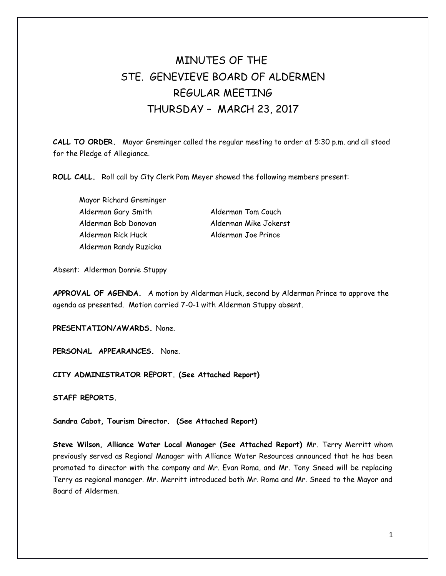# MINUTES OF THE STE. GENEVIEVE BOARD OF ALDERMEN REGULAR MEETING THURSDAY – MARCH 23, 2017

**CALL TO ORDER.** Mayor Greminger called the regular meeting to order at 5:30 p.m. and all stood for the Pledge of Allegiance.

**ROLL CALL.** Roll call by City Clerk Pam Meyer showed the following members present:

Mayor Richard Greminger Alderman Gary Smith Alderman Tom Couch Alderman Bob Donovan Alderman Mike Jokerst Alderman Rick Huck Alderman Joe Prince Alderman Randy Ruzicka

Absent: Alderman Donnie Stuppy

**APPROVAL OF AGENDA.** A motion by Alderman Huck, second by Alderman Prince to approve the agenda as presented. Motion carried 7-0-1 with Alderman Stuppy absent.

**PRESENTATION/AWARDS.** None.

**PERSONAL APPEARANCES.** None.

**CITY ADMINISTRATOR REPORT. (See Attached Report)** 

**STAFF REPORTS.** 

**Sandra Cabot, Tourism Director. (See Attached Report)** 

**Steve Wilson, Alliance Water Local Manager (See Attached Report)** Mr. Terry Merritt whom previously served as Regional Manager with Alliance Water Resources announced that he has been promoted to director with the company and Mr. Evan Roma, and Mr. Tony Sneed will be replacing Terry as regional manager. Mr. Merritt introduced both Mr. Roma and Mr. Sneed to the Mayor and Board of Aldermen.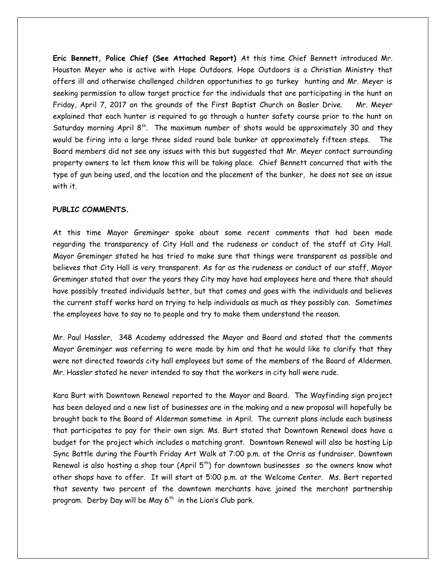**Eric Bennett, Police Chief (See Attached Report)** At this time Chief Bennett introduced Mr. Houston Meyer who is active with Hope Outdoors. Hope Outdoors is a Christian Ministry that offers ill and otherwise challenged children opportunities to go turkey hunting and Mr. Meyer is seeking permission to allow target practice for the individuals that are participating in the hunt on Friday, April 7, 2017 on the grounds of the First Baptist Church on Basler Drive. Mr. Meyer explained that each hunter is required to go through a hunter safety course prior to the hunt on Saturday morning April  $8<sup>th</sup>$ . The maximum number of shots would be approximately 30 and they would be firing into a large three sided round bale bunker at approximately fifteen steps. The Board members did not see any issues with this but suggested that Mr. Meyer contact surrounding property owners to let them know this will be taking place. Chief Bennett concurred that with the type of gun being used, and the location and the placement of the bunker, he does not see an issue with it.

# **PUBLIC COMMENTS.**

At this time Mayor Greminger spoke about some recent comments that had been made regarding the transparency of City Hall and the rudeness or conduct of the staff at City Hall. Mayor Greminger stated he has tried to make sure that things were transparent as possible and believes that City Hall is very transparent. As far as the rudeness or conduct of our staff, Mayor Greminger stated that over the years they City may have had employees here and there that should have possibly treated individuals better, but that comes and goes with the individuals and believes the current staff works hard on trying to help individuals as much as they possibly can. Sometimes the employees have to say no to people and try to make them understand the reason.

Mr. Paul Hassler, 348 Academy addressed the Mayor and Board and stated that the comments Mayor Greminger was referring to were made by him and that he would like to clarify that they were not directed towards city hall employees but some of the members of the Board of Aldermen. Mr. Hassler stated he never intended to say that the workers in city hall were rude.

Kara Burt with Downtown Renewal reported to the Mayor and Board. The Wayfinding sign project has been delayed and a new list of businesses are in the making and a new proposal will hopefully be brought back to the Board of Alderman sometime in April. The current plans include each business that participates to pay for their own sign. Ms. Burt stated that Downtown Renewal does have a budget for the project which includes a matching grant. Downtown Renewal will also be hosting Lip Sync Battle during the Fourth Friday Art Walk at 7:00 p.m. at the Orris as fundraiser. Downtown Renewal is also hosting a shop tour (April  $5<sup>th</sup>$ ) for downtown businesses so the owners know what other shops have to offer. It will start at 5:00 p.m. at the Welcome Center. Ms. Bert reported that seventy two percent of the downtown merchants have joined the merchant partnership program. Derby Day will be May  $6<sup>th</sup>$  in the Lion's Club park.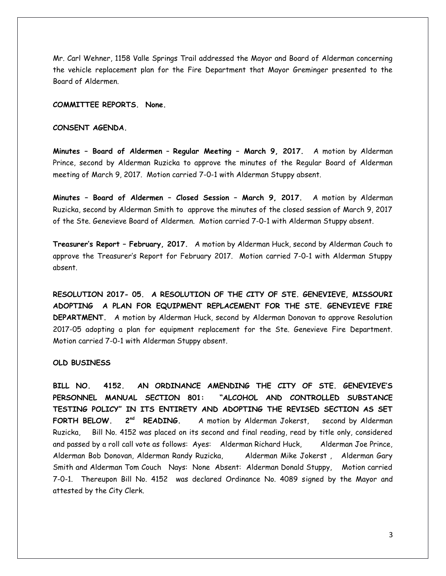Mr. Carl Wehner, 1158 Valle Springs Trail addressed the Mayor and Board of Alderman concerning the vehicle replacement plan for the Fire Department that Mayor Greminger presented to the Board of Aldermen.

## **COMMITTEE REPORTS. None.**

# **CONSENT AGENDA.**

**Minutes – Board of Aldermen** – **Regular Meeting – March 9, 2017.** A motion by Alderman Prince, second by Alderman Ruzicka to approve the minutes of the Regular Board of Alderman meeting of March 9, 2017. Motion carried 7-0-1 with Alderman Stuppy absent.

**Minutes – Board of Aldermen – Closed Session – March 9, 2017.** A motion by Alderman Ruzicka, second by Alderman Smith to approve the minutes of the closed session of March 9, 2017 of the Ste. Genevieve Board of Aldermen. Motion carried 7-0-1 with Alderman Stuppy absent.

**Treasurer's Report – February, 2017.** A motion by Alderman Huck, second by Alderman Couch to approve the Treasurer's Report for February 2017. Motion carried 7-0-1 with Alderman Stuppy absent.

**RESOLUTION 2017- 05. A RESOLUTION OF THE CITY OF STE. GENEVIEVE, MISSOURI ADOPTING A PLAN FOR EQUIPMENT REPLACEMENT FOR THE STE. GENEVIEVE FIRE DEPARTMENT.** A motion by Alderman Huck, second by Alderman Donovan to approve Resolution 2017-05 adopting a plan for equipment replacement for the Ste. Genevieve Fire Department. Motion carried 7-0-1 with Alderman Stuppy absent.

#### **OLD BUSINESS**

**BILL NO. 4152. AN ORDINANCE AMENDING THE CITY OF STE. GENEVIEVE'S PERSONNEL MANUAL SECTION 801: "ALCOHOL AND CONTROLLED SUBSTANCE TESTING POLICY" IN ITS ENTIRETY AND ADOPTING THE REVISED SECTION AS SET FORTH BELOW. 2nd READING.** A motion by Alderman Jokerst, second by Alderman Ruzicka, Bill No. 4152 was placed on its second and final reading, read by title only, considered and passed by a roll call vote as follows: Ayes: Alderman Richard Huck, Alderman Joe Prince, Alderman Bob Donovan, Alderman Randy Ruzicka, Alderman Mike Jokerst , Alderman Gary Smith and Alderman Tom Couch Nays: None Absent: Alderman Donald Stuppy, Motion carried 7-0-1. Thereupon Bill No. 4152 was declared Ordinance No. 4089 signed by the Mayor and attested by the City Clerk.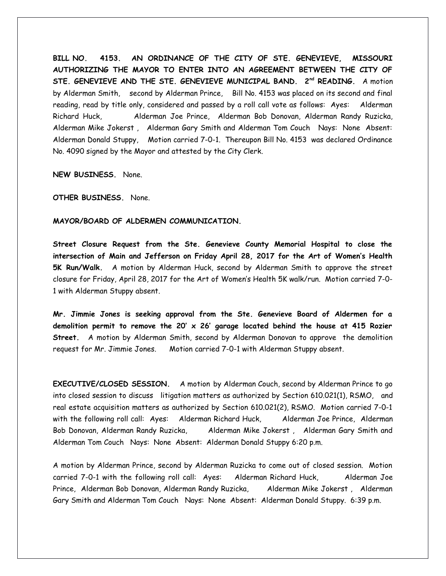**BILL NO. 4153. AN ORDINANCE OF THE CITY OF STE. GENEVIEVE, MISSOURI AUTHORIZING THE MAYOR TO ENTER INTO AN AGREEMENT BETWEEN THE CITY OF** STE. GENEVIEVE AND THE STE. GENEVIEVE MUNICIPAL BAND. 2<sup>nd</sup> READING. A motion by Alderman Smith, second by Alderman Prince, Bill No. 4153 was placed on its second and final reading, read by title only, considered and passed by a roll call vote as follows: Ayes: Alderman Richard Huck, Alderman Joe Prince, Alderman Bob Donovan, Alderman Randy Ruzicka, Alderman Mike Jokerst , Alderman Gary Smith and Alderman Tom Couch Nays: None Absent: Alderman Donald Stuppy, Motion carried 7-0-1. Thereupon Bill No. 4153 was declared Ordinance No. 4090 signed by the Mayor and attested by the City Clerk.

**NEW BUSINESS.** None.

**OTHER BUSINESS.** None.

## **MAYOR/BOARD OF ALDERMEN COMMUNICATION.**

**Street Closure Request from the Ste. Genevieve County Memorial Hospital to close the intersection of Main and Jefferson on Friday April 28, 2017 for the Art of Women's Health 5K Run/Walk.** A motion by Alderman Huck, second by Alderman Smith to approve the street closure for Friday, April 28, 2017 for the Art of Women's Health 5K walk/run. Motion carried 7-0- 1 with Alderman Stuppy absent.

**Mr. Jimmie Jones is seeking approval from the Ste. Genevieve Board of Aldermen for a demolition permit to remove the 20' x 26' garage located behind the house at 415 Rozier Street.** A motion by Alderman Smith, second by Alderman Donovan to approve the demolition request for Mr. Jimmie Jones. Motion carried 7-0-1 with Alderman Stuppy absent.

**EXECUTIVE/CLOSED SESSION.** A motion by Alderman Couch, second by Alderman Prince to go into closed session to discuss litigation matters as authorized by Section 610.021(1), RSMO,and real estate acquisition matters as authorized by Section 610.021(2), RSMO. Motion carried 7-0-1 with the following roll call: Ayes: Alderman Richard Huck, Alderman Joe Prince, Alderman Bob Donovan, Alderman Randy Ruzicka, Alderman Mike Jokerst, Alderman Gary Smith and Alderman Tom Couch Nays: None Absent: Alderman Donald Stuppy 6:20 p.m.

A motion by Alderman Prince, second by Alderman Ruzicka to come out of closed session. Motion carried 7-0-1 with the following roll call: Ayes: Alderman Richard Huck, Alderman Joe Prince, Alderman Bob Donovan, Alderman Randy Ruzicka, Alderman Mike Jokerst , Alderman Gary Smith and Alderman Tom Couch Nays: None Absent: Alderman Donald Stuppy. 6:39 p.m.